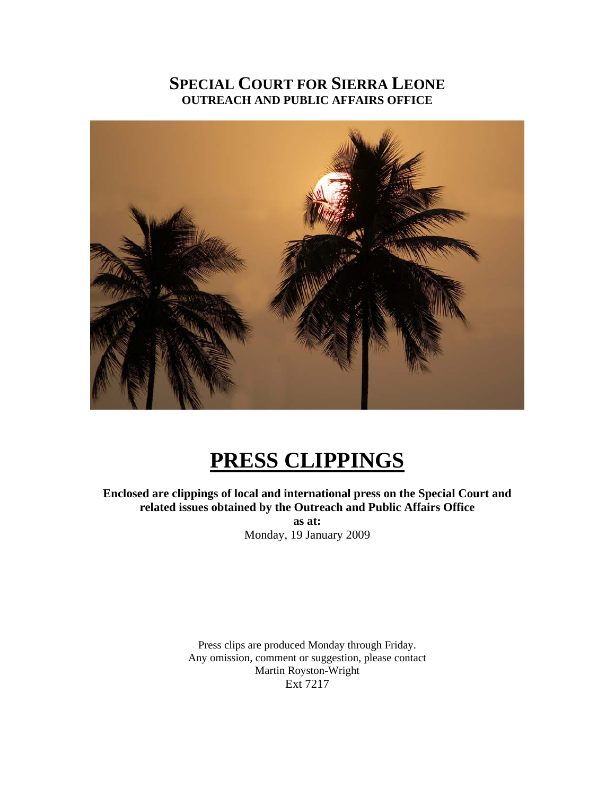## **SPECIAL COURT FOR SIERRA LEONE OUTREACH AND PUBLIC AFFAIRS OFFICE**



# **PRESS CLIPPINGS**

**Enclosed are clippings of local and international press on the Special Court and related issues obtained by the Outreach and Public Affairs Office** 

> **as at:**  Monday, 19 January 2009

Press clips are produced Monday through Friday. Any omission, comment or suggestion, please contact Martin Royston-Wright Ext 7217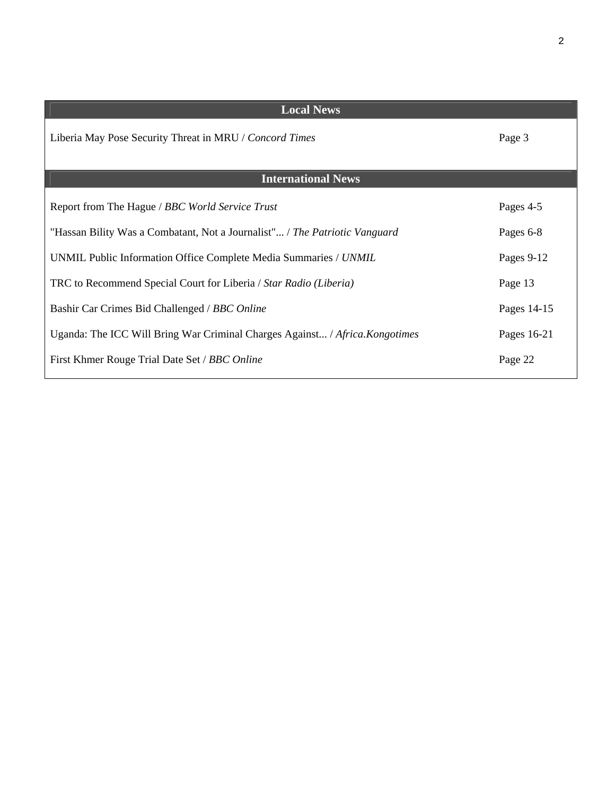| <b>Local News</b>                                                            |             |  |  |
|------------------------------------------------------------------------------|-------------|--|--|
| Liberia May Pose Security Threat in MRU / Concord Times                      | Page 3      |  |  |
| <b>International News</b>                                                    |             |  |  |
| Report from The Hague / BBC World Service Trust                              | Pages 4-5   |  |  |
| "Hassan Bility Was a Combatant, Not a Journalist" / The Patriotic Vanguard   | Pages 6-8   |  |  |
| UNMIL Public Information Office Complete Media Summaries / UNMIL             | Pages 9-12  |  |  |
| TRC to Recommend Special Court for Liberia / Star Radio (Liberia)            | Page 13     |  |  |
| Bashir Car Crimes Bid Challenged / BBC Online                                | Pages 14-15 |  |  |
| Uganda: The ICC Will Bring War Criminal Charges Against / Africa. Kongotimes | Pages 16-21 |  |  |
| First Khmer Rouge Trial Date Set / BBC Online                                | Page 22     |  |  |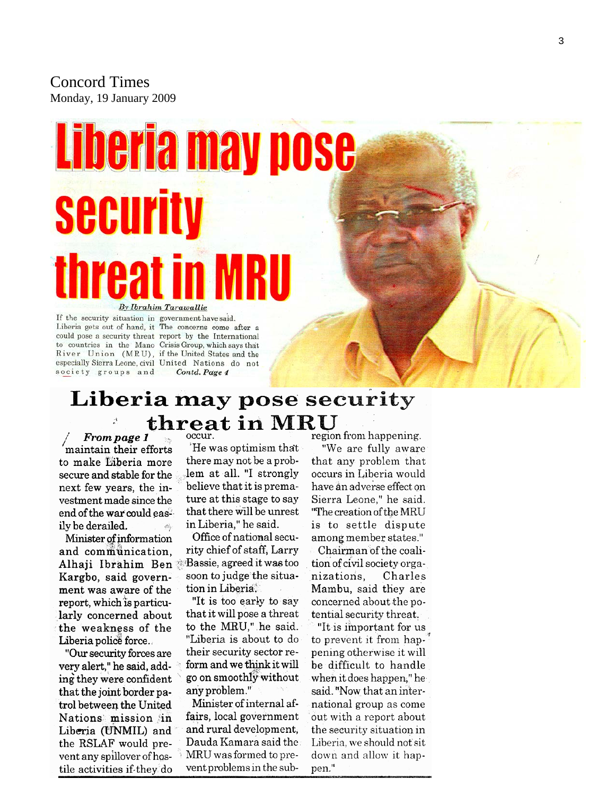Concord Times Monday, 19 January 2009

# Liberia may pose **Security**

#### By Ibrahim Tarawallie

If the security situation in government have said. Liberia gets out of hand, it The concerns come after a could pose a security threat report by the International to countries in the Mano Crisis Group, which says that River Union (MRU), if the United States and the especially Sierra Leone, civil United Nations do not society groups and

Contd. Page 4

# Liberia may pose security threat in MRU

From page 1 maintain their efforts to make Liberia more secure and stable for the next few years, the investment made since the end of the war could easily be derailed.

Minister of information and communication. Alhaji Ibrahim Ben Bassie, agreed it was too Kargbo, said government was aware of the report, which is particularly concerned about the weakness of the Liberia police force.

"Our security forces are very alert," he said, adding they were confident that the joint border patrol between the United Nations mission in Liberia (UNMIL) and the RSLAF would prevent any spillover of hostile activities if they do

He was optimism that there may not be a problem at all. "I strongly believe that it is premature at this stage to say that there will be unrest in Liberia," he said.

Office of national security chief of staff, Larry soon to judge the situation in Liberia.

"It is too early to say that it will pose a threat to the MRU," he said. "Liberia is about to do their security sector reform and we think it will go on smoothly without any problem."

Minister of internal affairs, local government and rural development, Dauda Kamara said the MRU was formed to prevent problems in the subregion from happening.

"We are fully aware that any problem that occurs in Liberia would have an adverse effect on Sierra Leone," he said. "The creation of the MRU is to settle dispute among member states."

Chairman of the coalition of civil society organizations. Charles Mambu, said they are concerned about the potential security threat.

"It is important for us to prevent it from happening otherwise it will be difficult to handle when it does happen," he said. "Now that an international group as come out with a report about the security situation in Liberia, we should not sit down and allow it happen."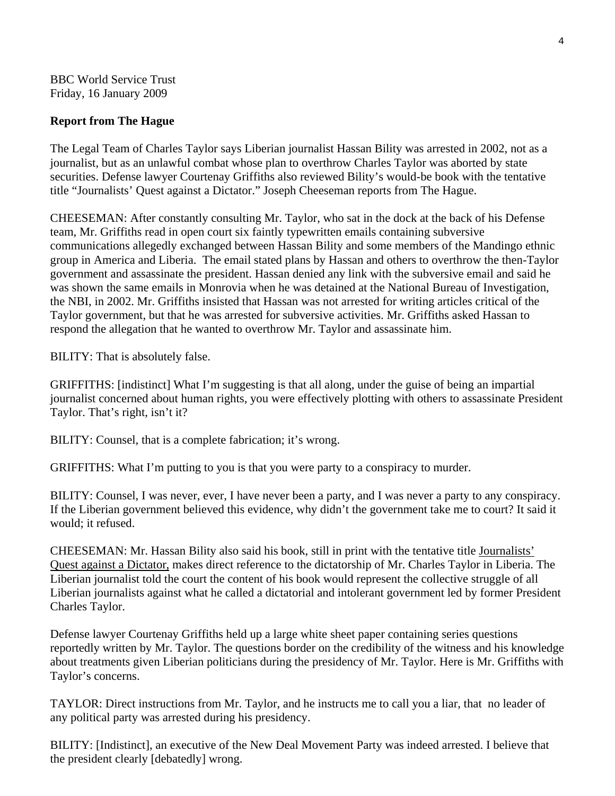BBC World Service Trust Friday, 16 January 2009

#### **Report from The Hague**

The Legal Team of Charles Taylor says Liberian journalist Hassan Bility was arrested in 2002, not as a journalist, but as an unlawful combat whose plan to overthrow Charles Taylor was aborted by state securities. Defense lawyer Courtenay Griffiths also reviewed Bility's would-be book with the tentative title "Journalists' Quest against a Dictator." Joseph Cheeseman reports from The Hague.

CHEESEMAN: After constantly consulting Mr. Taylor, who sat in the dock at the back of his Defense team, Mr. Griffiths read in open court six faintly typewritten emails containing subversive communications allegedly exchanged between Hassan Bility and some members of the Mandingo ethnic group in America and Liberia. The email stated plans by Hassan and others to overthrow the then-Taylor government and assassinate the president. Hassan denied any link with the subversive email and said he was shown the same emails in Monrovia when he was detained at the National Bureau of Investigation, the NBI, in 2002. Mr. Griffiths insisted that Hassan was not arrested for writing articles critical of the Taylor government, but that he was arrested for subversive activities. Mr. Griffiths asked Hassan to respond the allegation that he wanted to overthrow Mr. Taylor and assassinate him.

BILITY: That is absolutely false.

GRIFFITHS: [indistinct] What I'm suggesting is that all along, under the guise of being an impartial journalist concerned about human rights, you were effectively plotting with others to assassinate President Taylor. That's right, isn't it?

BILITY: Counsel, that is a complete fabrication; it's wrong.

GRIFFITHS: What I'm putting to you is that you were party to a conspiracy to murder.

BILITY: Counsel, I was never, ever, I have never been a party, and I was never a party to any conspiracy. If the Liberian government believed this evidence, why didn't the government take me to court? It said it would; it refused.

CHEESEMAN: Mr. Hassan Bility also said his book, still in print with the tentative title Journalists' Quest against a Dictator, makes direct reference to the dictatorship of Mr. Charles Taylor in Liberia. The Liberian journalist told the court the content of his book would represent the collective struggle of all Liberian journalists against what he called a dictatorial and intolerant government led by former President Charles Taylor.

Defense lawyer Courtenay Griffiths held up a large white sheet paper containing series questions reportedly written by Mr. Taylor. The questions border on the credibility of the witness and his knowledge about treatments given Liberian politicians during the presidency of Mr. Taylor. Here is Mr. Griffiths with Taylor's concerns.

TAYLOR: Direct instructions from Mr. Taylor, and he instructs me to call you a liar, that no leader of any political party was arrested during his presidency.

BILITY: [Indistinct], an executive of the New Deal Movement Party was indeed arrested. I believe that the president clearly [debatedly] wrong.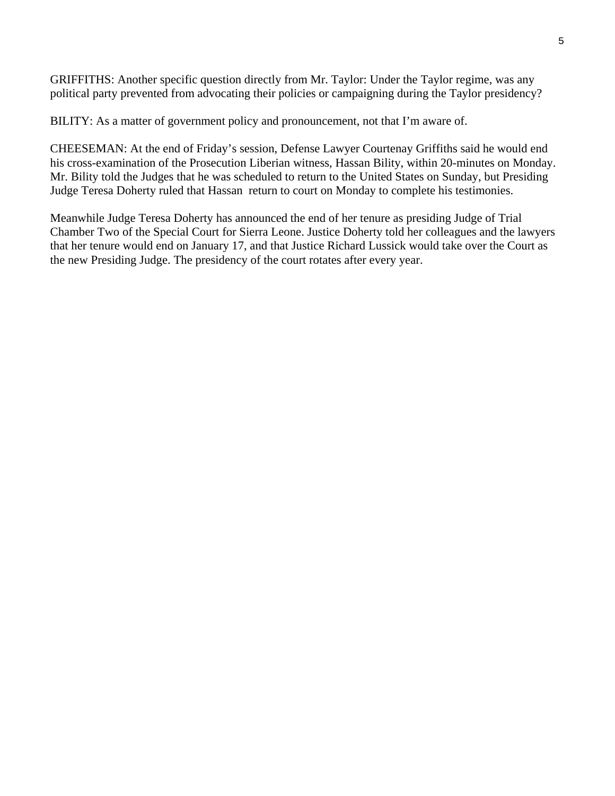GRIFFITHS: Another specific question directly from Mr. Taylor: Under the Taylor regime, was any political party prevented from advocating their policies or campaigning during the Taylor presidency?

BILITY: As a matter of government policy and pronouncement, not that I'm aware of.

CHEESEMAN: At the end of Friday's session, Defense Lawyer Courtenay Griffiths said he would end his cross-examination of the Prosecution Liberian witness, Hassan Bility, within 20-minutes on Monday. Mr. Bility told the Judges that he was scheduled to return to the United States on Sunday, but Presiding Judge Teresa Doherty ruled that Hassan return to court on Monday to complete his testimonies.

Meanwhile Judge Teresa Doherty has announced the end of her tenure as presiding Judge of Trial Chamber Two of the Special Court for Sierra Leone. Justice Doherty told her colleagues and the lawyers that her tenure would end on January 17, and that Justice Richard Lussick would take over the Court as the new Presiding Judge. The presidency of the court rotates after every year.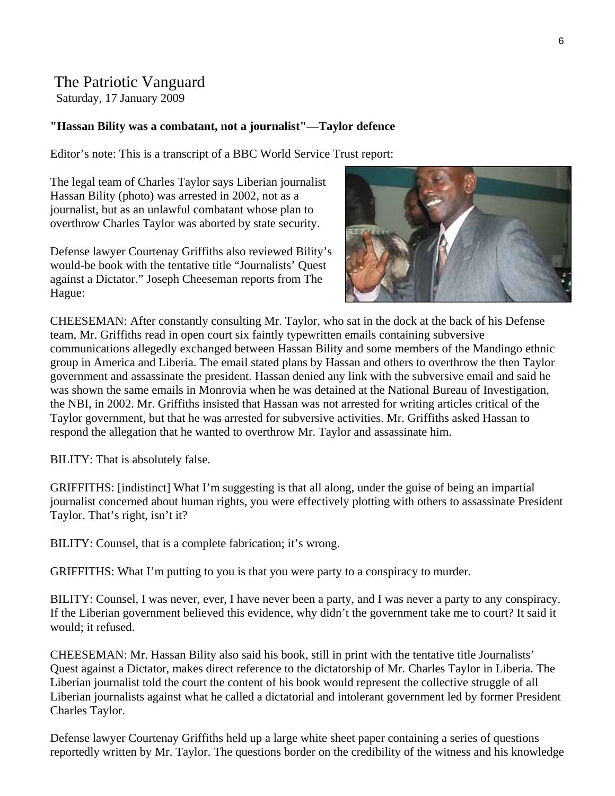## The Patriotic Vanguard

Saturday, 17 January 2009

#### **"Hassan Bility was a combatant, not a journalist"—Taylor defence**

Editor's note: This is a transcript of a BBC World Service Trust report:

The legal team of Charles Taylor says Liberian journalist Hassan Bility (photo) was arrested in 2002, not as a journalist, but as an unlawful combatant whose plan to overthrow Charles Taylor was aborted by state security.

Defense lawyer Courtenay Griffiths also reviewed Bility's would-be book with the tentative title "Journalists' Quest against a Dictator." Joseph Cheeseman reports from The Hague:



CHEESEMAN: After constantly consulting Mr. Taylor, who sat in the dock at the back of his Defense team, Mr. Griffiths read in open court six faintly typewritten emails containing subversive communications allegedly exchanged between Hassan Bility and some members of the Mandingo ethnic group in America and Liberia. The email stated plans by Hassan and others to overthrow the then Taylor government and assassinate the president. Hassan denied any link with the subversive email and said he was shown the same emails in Monrovia when he was detained at the National Bureau of Investigation, the NBI, in 2002. Mr. Griffiths insisted that Hassan was not arrested for writing articles critical of the Taylor government, but that he was arrested for subversive activities. Mr. Griffiths asked Hassan to respond the allegation that he wanted to overthrow Mr. Taylor and assassinate him.

BILITY: That is absolutely false.

GRIFFITHS: [indistinct] What I'm suggesting is that all along, under the guise of being an impartial journalist concerned about human rights, you were effectively plotting with others to assassinate President Taylor. That's right, isn't it?

BILITY: Counsel, that is a complete fabrication; it's wrong.

GRIFFITHS: What I'm putting to you is that you were party to a conspiracy to murder.

BILITY: Counsel, I was never, ever, I have never been a party, and I was never a party to any conspiracy. If the Liberian government believed this evidence, why didn't the government take me to court? It said it would; it refused.

CHEESEMAN: Mr. Hassan Bility also said his book, still in print with the tentative title Journalists' Quest against a Dictator, makes direct reference to the dictatorship of Mr. Charles Taylor in Liberia. The Liberian journalist told the court the content of his book would represent the collective struggle of all Liberian journalists against what he called a dictatorial and intolerant government led by former President Charles Taylor.

Defense lawyer Courtenay Griffiths held up a large white sheet paper containing a series of questions reportedly written by Mr. Taylor. The questions border on the credibility of the witness and his knowledge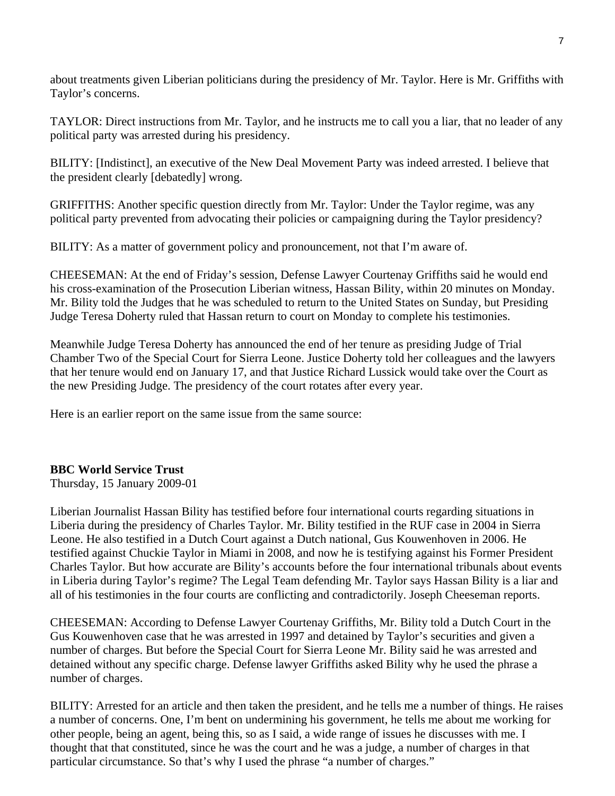about treatments given Liberian politicians during the presidency of Mr. Taylor. Here is Mr. Griffiths with Taylor's concerns.

TAYLOR: Direct instructions from Mr. Taylor, and he instructs me to call you a liar, that no leader of any political party was arrested during his presidency.

BILITY: [Indistinct], an executive of the New Deal Movement Party was indeed arrested. I believe that the president clearly [debatedly] wrong.

GRIFFITHS: Another specific question directly from Mr. Taylor: Under the Taylor regime, was any political party prevented from advocating their policies or campaigning during the Taylor presidency?

BILITY: As a matter of government policy and pronouncement, not that I'm aware of.

CHEESEMAN: At the end of Friday's session, Defense Lawyer Courtenay Griffiths said he would end his cross-examination of the Prosecution Liberian witness, Hassan Bility, within 20 minutes on Monday. Mr. Bility told the Judges that he was scheduled to return to the United States on Sunday, but Presiding Judge Teresa Doherty ruled that Hassan return to court on Monday to complete his testimonies.

Meanwhile Judge Teresa Doherty has announced the end of her tenure as presiding Judge of Trial Chamber Two of the Special Court for Sierra Leone. Justice Doherty told her colleagues and the lawyers that her tenure would end on January 17, and that Justice Richard Lussick would take over the Court as the new Presiding Judge. The presidency of the court rotates after every year.

Here is an earlier report on the same issue from the same source:

### **BBC World Service Trust**

Thursday, 15 January 2009-01

Liberian Journalist Hassan Bility has testified before four international courts regarding situations in Liberia during the presidency of Charles Taylor. Mr. Bility testified in the RUF case in 2004 in Sierra Leone. He also testified in a Dutch Court against a Dutch national, Gus Kouwenhoven in 2006. He testified against Chuckie Taylor in Miami in 2008, and now he is testifying against his Former President Charles Taylor. But how accurate are Bility's accounts before the four international tribunals about events in Liberia during Taylor's regime? The Legal Team defending Mr. Taylor says Hassan Bility is a liar and all of his testimonies in the four courts are conflicting and contradictorily. Joseph Cheeseman reports.

CHEESEMAN: According to Defense Lawyer Courtenay Griffiths, Mr. Bility told a Dutch Court in the Gus Kouwenhoven case that he was arrested in 1997 and detained by Taylor's securities and given a number of charges. But before the Special Court for Sierra Leone Mr. Bility said he was arrested and detained without any specific charge. Defense lawyer Griffiths asked Bility why he used the phrase a number of charges.

BILITY: Arrested for an article and then taken the president, and he tells me a number of things. He raises a number of concerns. One, I'm bent on undermining his government, he tells me about me working for other people, being an agent, being this, so as I said, a wide range of issues he discusses with me. I thought that that constituted, since he was the court and he was a judge, a number of charges in that particular circumstance. So that's why I used the phrase "a number of charges."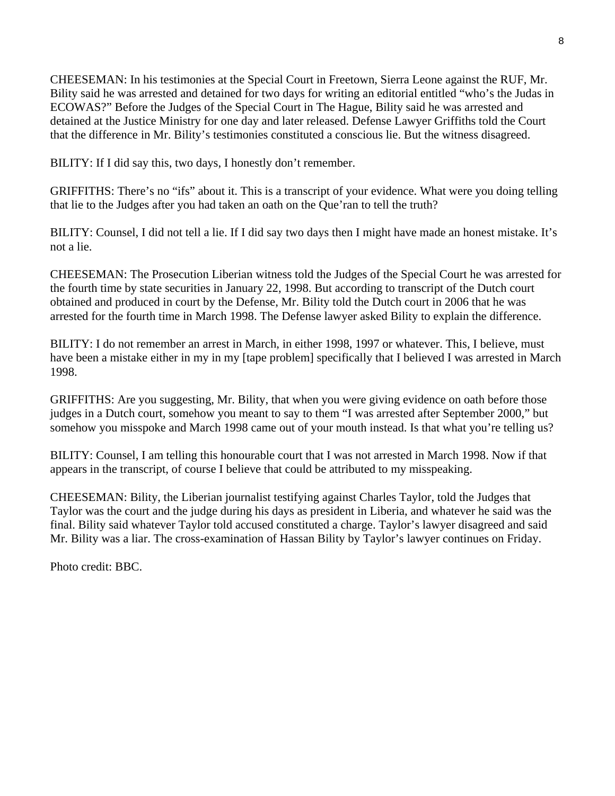CHEESEMAN: In his testimonies at the Special Court in Freetown, Sierra Leone against the RUF, Mr. Bility said he was arrested and detained for two days for writing an editorial entitled "who's the Judas in ECOWAS?" Before the Judges of the Special Court in The Hague, Bility said he was arrested and detained at the Justice Ministry for one day and later released. Defense Lawyer Griffiths told the Court that the difference in Mr. Bility's testimonies constituted a conscious lie. But the witness disagreed.

BILITY: If I did say this, two days, I honestly don't remember.

GRIFFITHS: There's no "ifs" about it. This is a transcript of your evidence. What were you doing telling that lie to the Judges after you had taken an oath on the Que'ran to tell the truth?

BILITY: Counsel, I did not tell a lie. If I did say two days then I might have made an honest mistake. It's not a lie.

CHEESEMAN: The Prosecution Liberian witness told the Judges of the Special Court he was arrested for the fourth time by state securities in January 22, 1998. But according to transcript of the Dutch court obtained and produced in court by the Defense, Mr. Bility told the Dutch court in 2006 that he was arrested for the fourth time in March 1998. The Defense lawyer asked Bility to explain the difference.

BILITY: I do not remember an arrest in March, in either 1998, 1997 or whatever. This, I believe, must have been a mistake either in my in my [tape problem] specifically that I believed I was arrested in March 1998.

GRIFFITHS: Are you suggesting, Mr. Bility, that when you were giving evidence on oath before those judges in a Dutch court, somehow you meant to say to them "I was arrested after September 2000," but somehow you misspoke and March 1998 came out of your mouth instead. Is that what you're telling us?

BILITY: Counsel, I am telling this honourable court that I was not arrested in March 1998. Now if that appears in the transcript, of course I believe that could be attributed to my misspeaking.

CHEESEMAN: Bility, the Liberian journalist testifying against Charles Taylor, told the Judges that Taylor was the court and the judge during his days as president in Liberia, and whatever he said was the final. Bility said whatever Taylor told accused constituted a charge. Taylor's lawyer disagreed and said Mr. Bility was a liar. The cross-examination of Hassan Bility by Taylor's lawyer continues on Friday.

Photo credit: BBC.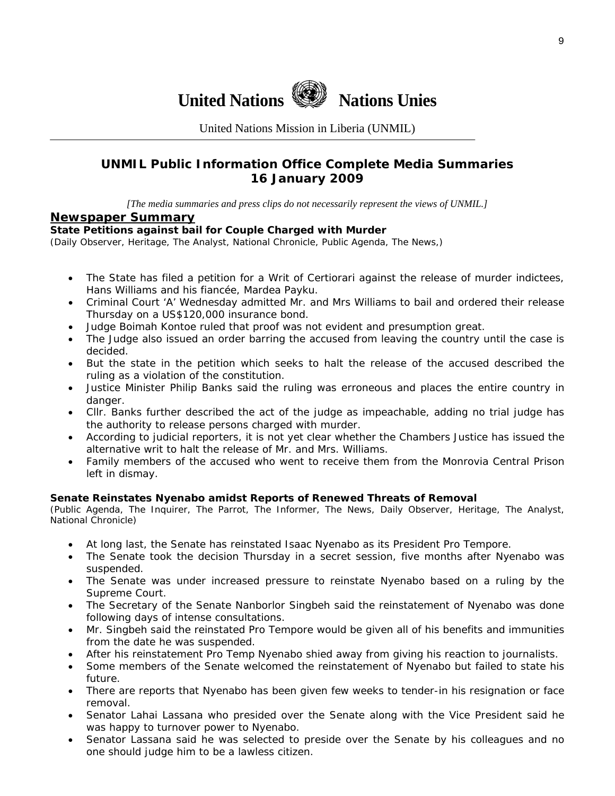

United Nations Mission in Liberia (UNMIL)

## **UNMIL Public Information Office Complete Media Summaries 16 January 2009**

*[The media summaries and press clips do not necessarily represent the views of UNMIL.]* 

#### **Newspaper Summary**

#### **State Petitions against bail for Couple Charged with Murder**

(Daily Observer, Heritage, The Analyst, National Chronicle, Public Agenda, The News,)

- The State has filed a petition for a Writ of Certiorari against the release of murder indictees, Hans Williams and his fiancée, Mardea Payku.
- Criminal Court 'A' Wednesday admitted Mr. and Mrs Williams to bail and ordered their release Thursday on a US\$120,000 insurance bond.
- Judge Boimah Kontoe ruled that proof was not evident and presumption great.
- The Judge also issued an order barring the accused from leaving the country until the case is decided.
- But the state in the petition which seeks to halt the release of the accused described the ruling as a violation of the constitution.
- Justice Minister Philip Banks said the ruling was erroneous and places the entire country in danger.
- Cllr. Banks further described the act of the judge as impeachable, adding no trial judge has the authority to release persons charged with murder.
- According to judicial reporters, it is not yet clear whether the Chambers Justice has issued the alternative writ to halt the release of Mr. and Mrs. Williams.
- Family members of the accused who went to receive them from the Monrovia Central Prison left in dismay.

#### **Senate Reinstates Nyenabo amidst Reports of Renewed Threats of Removal**

(Public Agenda, The Inquirer, The Parrot, The Informer, The News, Daily Observer, Heritage, The Analyst, National Chronicle)

- At long last, the Senate has reinstated Isaac Nyenabo as its President Pro Tempore.
- The Senate took the decision Thursday in a secret session, five months after Nyenabo was suspended.
- The Senate was under increased pressure to reinstate Nyenabo based on a ruling by the Supreme Court.
- The Secretary of the Senate Nanborlor Singbeh said the reinstatement of Nyenabo was done following days of intense consultations.
- Mr. Singbeh said the reinstated Pro Tempore would be given all of his benefits and immunities from the date he was suspended.
- After his reinstatement Pro Temp Nyenabo shied away from giving his reaction to journalists.
- Some members of the Senate welcomed the reinstatement of Nyenabo but failed to state his future.
- There are reports that Nyenabo has been given few weeks to tender-in his resignation or face removal.
- Senator Lahai Lassana who presided over the Senate along with the Vice President said he was happy to turnover power to Nyenabo.
- Senator Lassana said he was selected to preside over the Senate by his colleagues and no one should judge him to be a lawless citizen.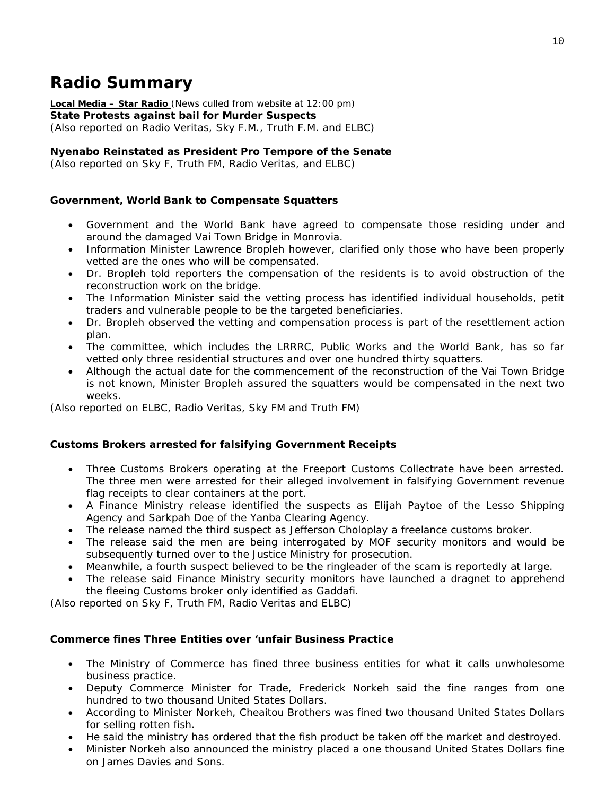## **Radio Summary**

**Local Media – Star Radio** *(News culled from website at 12:00 pm)*  **State Protests against bail for Murder Suspects**  *(Also reported on Radio Veritas, Sky F.M., Truth F.M. and ELBC*)

#### **Nyenabo Reinstated as President Pro Tempore of the Senate**

*(Also reported on Sky F, Truth FM, Radio Veritas, and ELBC*)

#### **Government, World Bank to Compensate Squatters**

- Government and the World Bank have agreed to compensate those residing under and around the damaged Vai Town Bridge in Monrovia.
- Information Minister Lawrence Bropleh however, clarified only those who have been properly vetted are the ones who will be compensated.
- Dr. Bropleh told reporters the compensation of the residents is to avoid obstruction of the reconstruction work on the bridge.
- The Information Minister said the vetting process has identified individual households, petit traders and vulnerable people to be the targeted beneficiaries.
- Dr. Bropleh observed the vetting and compensation process is part of the resettlement action plan.
- The committee, which includes the LRRRC, Public Works and the World Bank, has so far vetted only three residential structures and over one hundred thirty squatters.
- Although the actual date for the commencement of the reconstruction of the Vai Town Bridge is not known, Minister Bropleh assured the squatters would be compensated in the next two weeks.

*(Also reported on ELBC, Radio Veritas, Sky FM and Truth FM*)

#### **Customs Brokers arrested for falsifying Government Receipts**

- Three Customs Brokers operating at the Freeport Customs Collectrate have been arrested. The three men were arrested for their alleged involvement in falsifying Government revenue flag receipts to clear containers at the port.
- A Finance Ministry release identified the suspects as Elijah Paytoe of the Lesso Shipping Agency and Sarkpah Doe of the Yanba Clearing Agency.
- The release named the third suspect as Jefferson Choloplay a freelance customs broker.
- The release said the men are being interrogated by MOF security monitors and would be subsequently turned over to the Justice Ministry for prosecution.
- Meanwhile, a fourth suspect believed to be the ringleader of the scam is reportedly at large.
- The release said Finance Ministry security monitors have launched a dragnet to apprehend the fleeing Customs broker only identified as Gaddafi.

*(Also reported on Sky F, Truth FM, Radio Veritas and ELBC*)

#### **Commerce fines Three Entities over 'unfair Business Practice**

- The Ministry of Commerce has fined three business entities for what it calls unwholesome business practice.
- Deputy Commerce Minister for Trade, Frederick Norkeh said the fine ranges from one hundred to two thousand United States Dollars.
- According to Minister Norkeh, Cheaitou Brothers was fined two thousand United States Dollars for selling rotten fish.
- He said the ministry has ordered that the fish product be taken off the market and destroyed.
- Minister Norkeh also announced the ministry placed a one thousand United States Dollars fine on James Davies and Sons.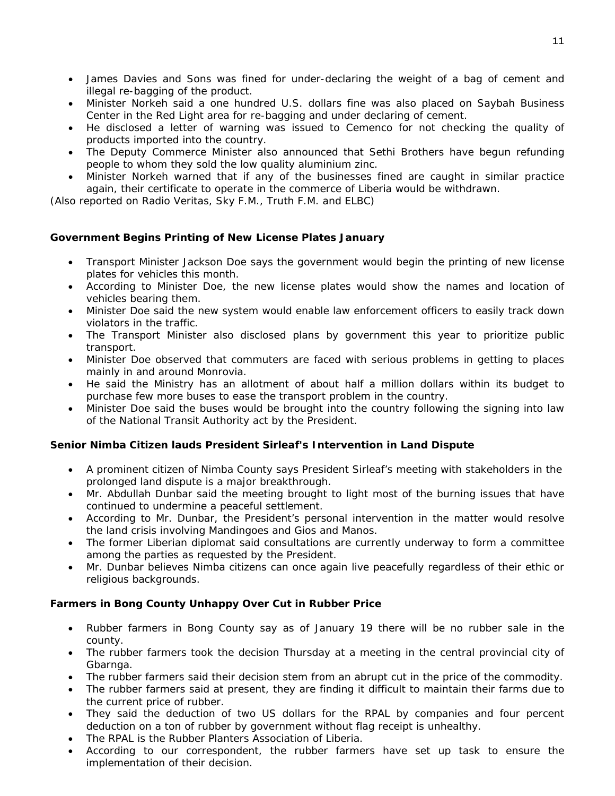- James Davies and Sons was fined for under-declaring the weight of a bag of cement and illegal re-bagging of the product.
- Minister Norkeh said a one hundred U.S. dollars fine was also placed on Saybah Business Center in the Red Light area for re-bagging and under declaring of cement.
- He disclosed a letter of warning was issued to Cemenco for not checking the quality of products imported into the country.
- The Deputy Commerce Minister also announced that Sethi Brothers have begun refunding people to whom they sold the low quality aluminium zinc.
- Minister Norkeh warned that if any of the businesses fined are caught in similar practice again, their certificate to operate in the commerce of Liberia would be withdrawn.

*(Also reported on Radio Veritas, Sky F.M., Truth F.M. and ELBC*)

#### **Government Begins Printing of New License Plates January**

- Transport Minister Jackson Doe says the government would begin the printing of new license plates for vehicles this month.
- According to Minister Doe, the new license plates would show the names and location of vehicles bearing them.
- Minister Doe said the new system would enable law enforcement officers to easily track down violators in the traffic.
- The Transport Minister also disclosed plans by government this year to prioritize public transport.
- Minister Doe observed that commuters are faced with serious problems in getting to places mainly in and around Monrovia.
- He said the Ministry has an allotment of about half a million dollars within its budget to purchase few more buses to ease the transport problem in the country.
- Minister Doe said the buses would be brought into the country following the signing into law of the National Transit Authority act by the President.

#### **Senior Nimba Citizen lauds President Sirleaf's Intervention in Land Dispute**

- A prominent citizen of Nimba County says President Sirleaf's meeting with stakeholders in the prolonged land dispute is a major breakthrough.
- Mr. Abdullah Dunbar said the meeting brought to light most of the burning issues that have continued to undermine a peaceful settlement.
- According to Mr. Dunbar, the President's personal intervention in the matter would resolve the land crisis involving Mandingoes and Gios and Manos.
- The former Liberian diplomat said consultations are currently underway to form a committee among the parties as requested by the President.
- Mr. Dunbar believes Nimba citizens can once again live peacefully regardless of their ethic or religious backgrounds.

#### **Farmers in Bong County Unhappy Over Cut in Rubber Price**

- Rubber farmers in Bong County say as of January 19 there will be no rubber sale in the county.
- The rubber farmers took the decision Thursday at a meeting in the central provincial city of Gbarnga.
- The rubber farmers said their decision stem from an abrupt cut in the price of the commodity.
- The rubber farmers said at present, they are finding it difficult to maintain their farms due to the current price of rubber.
- They said the deduction of two US dollars for the RPAL by companies and four percent deduction on a ton of rubber by government without flag receipt is unhealthy.
- The RPAL is the Rubber Planters Association of Liberia.
- According to our correspondent, the rubber farmers have set up task to ensure the implementation of their decision.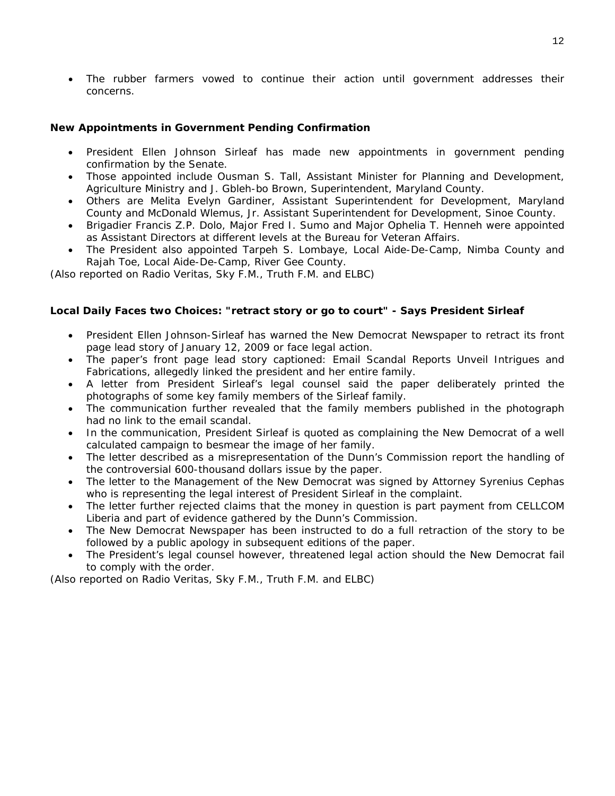• The rubber farmers vowed to continue their action until government addresses their concerns.

#### **New Appointments in Government Pending Confirmation**

- President Ellen Johnson Sirleaf has made new appointments in government pending confirmation by the Senate.
- Those appointed include Ousman S. Tall, Assistant Minister for Planning and Development, Agriculture Ministry and J. Gbleh-bo Brown, Superintendent, Maryland County.
- Others are Melita Evelyn Gardiner, Assistant Superintendent for Development, Maryland County and McDonald Wlemus, Jr. Assistant Superintendent for Development, Sinoe County.
- Brigadier Francis Z.P. Dolo, Major Fred I. Sumo and Major Ophelia T. Henneh were appointed as Assistant Directors at different levels at the Bureau for Veteran Affairs.
- The President also appointed Tarpeh S. Lombaye, Local Aide-De-Camp, Nimba County and Rajah Toe, Local Aide-De-Camp, River Gee County.

*(Also reported on Radio Veritas, Sky F.M., Truth F.M. and ELBC*)

#### **Local Daily Faces two Choices: "retract story or go to court" - Says President Sirleaf**

- President Ellen Johnson-Sirleaf has warned the New Democrat Newspaper to retract its front page lead story of January 12, 2009 or face legal action.
- The paper's front page lead story captioned: Email Scandal Reports Unveil Intrigues and Fabrications, allegedly linked the president and her entire family.
- A letter from President Sirleaf's legal counsel said the paper deliberately printed the photographs of some key family members of the Sirleaf family.
- The communication further revealed that the family members published in the photograph had no link to the email scandal.
- In the communication, President Sirleaf is quoted as complaining the New Democrat of a well calculated campaign to besmear the image of her family.
- The letter described as a misrepresentation of the Dunn's Commission report the handling of the controversial 600-thousand dollars issue by the paper.
- The letter to the Management of the New Democrat was signed by Attorney Syrenius Cephas who is representing the legal interest of President Sirleaf in the complaint.
- The letter further rejected claims that the money in question is part payment from CELLCOM Liberia and part of evidence gathered by the Dunn's Commission.
- The New Democrat Newspaper has been instructed to do a full retraction of the story to be followed by a public apology in subsequent editions of the paper.
- The President's legal counsel however, threatened legal action should the New Democrat fail to comply with the order.

*(Also reported on Radio Veritas, Sky F.M., Truth F.M. and ELBC*)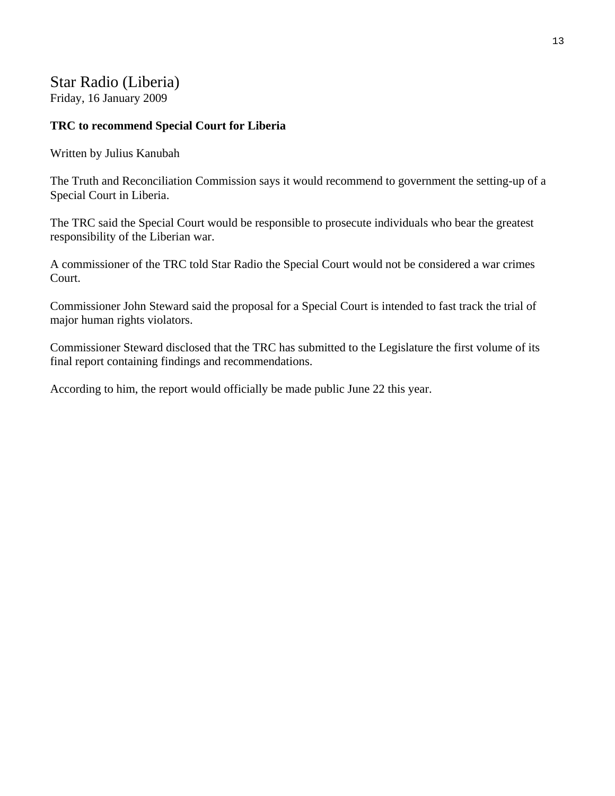## Star Radio (Liberia)

Friday, 16 January 2009

## **TRC to recommend Special Court for Liberia**

Written by Julius Kanubah

The Truth and Reconciliation Commission says it would recommend to government the setting-up of a Special Court in Liberia.

The TRC said the Special Court would be responsible to prosecute individuals who bear the greatest responsibility of the Liberian war.

A commissioner of the TRC told Star Radio the Special Court would not be considered a war crimes Court.

Commissioner John Steward said the proposal for a Special Court is intended to fast track the trial of major human rights violators.

Commissioner Steward disclosed that the TRC has submitted to the Legislature the first volume of its final report containing findings and recommendations.

According to him, the report would officially be made public June 22 this year.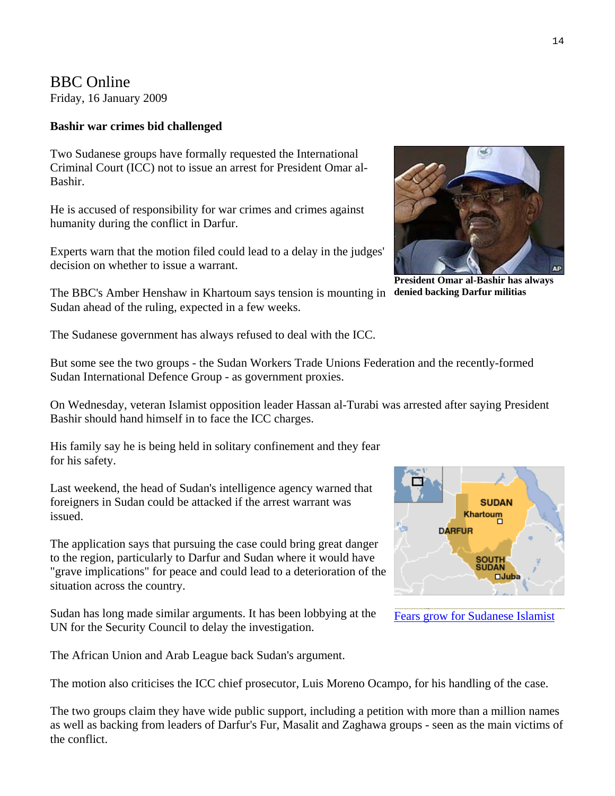# BBC Online

Friday, 16 January 2009

#### **Bashir war crimes bid challenged**

Two Sudanese groups have formally requested the International Criminal Court (ICC) not to issue an arrest for President Omar al-Bashir.

He is accused of responsibility for war crimes and crimes against humanity during the conflict in Darfur.

Experts warn that the motion filed could lead to a delay in the judges' decision on whether to issue a warrant.

The BBC's Amber Henshaw in Khartoum says tension is mounting in denied backing Darfur militias Sudan ahead of the ruling, expected in a few weeks.

The Sudanese government has always refused to deal with the ICC.

But some see the two groups - the Sudan Workers Trade Unions Federation and the recently-formed Sudan International Defence Group - as government proxies.

On Wednesday, veteran Islamist opposition leader Hassan al-Turabi was arrested after saying President Bashir should hand himself in to face the ICC charges.

His family say he is being held in solitary confinement and they fear for his safety.

Last weekend, the head of Sudan's intelligence agency warned that foreigners in Sudan could be attacked if the arrest warrant was issued.

The application says that pursuing the case could bring great danger to the region, particularly to Darfur and Sudan where it would have "grave implications" for peace and could lead to a deterioration of the situation across the country.

Sudan has long made similar arguments. It has been lobbying at the UN for the Security Council to delay the investigation.

The African Union and Arab League back Sudan's argument.

The motion also criticises the ICC chief prosecutor, Luis Moreno Ocampo, for his handling of the case.

The two groups claim they have wide public support, including a petition with more than a million names as well as backing from leaders of Darfur's Fur, Masalit and Zaghawa groups - seen as the main victims of the conflict.



**President Omar al-Bashir has always** 



|  |  | <b>Fears grow for Sudanese Islamist</b> |  |
|--|--|-----------------------------------------|--|
|--|--|-----------------------------------------|--|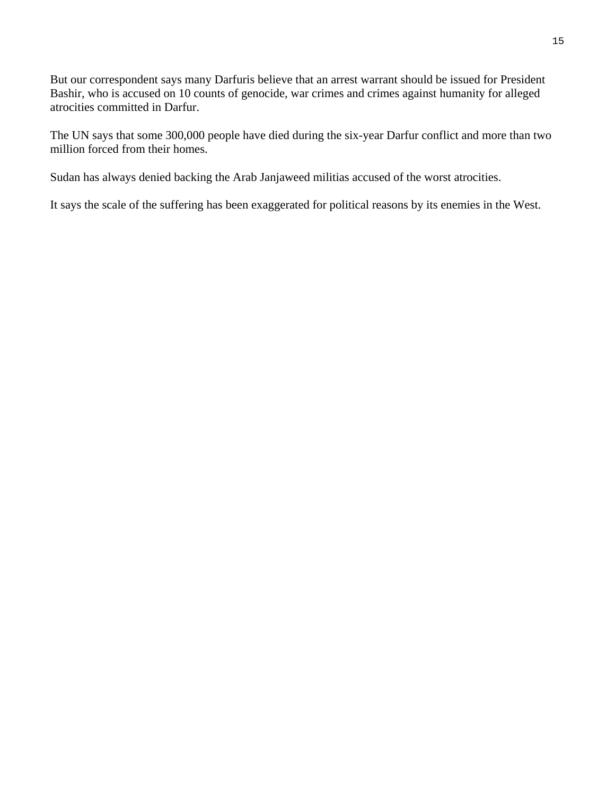But our correspondent says many Darfuris believe that an arrest warrant should be issued for President Bashir, who is accused on 10 counts of genocide, war crimes and crimes against humanity for alleged atrocities committed in Darfur.

The UN says that some 300,000 people have died during the six-year Darfur conflict and more than two million forced from their homes.

Sudan has always denied backing the Arab Janjaweed militias accused of the worst atrocities.

It says the scale of the suffering has been exaggerated for political reasons by its enemies in the West.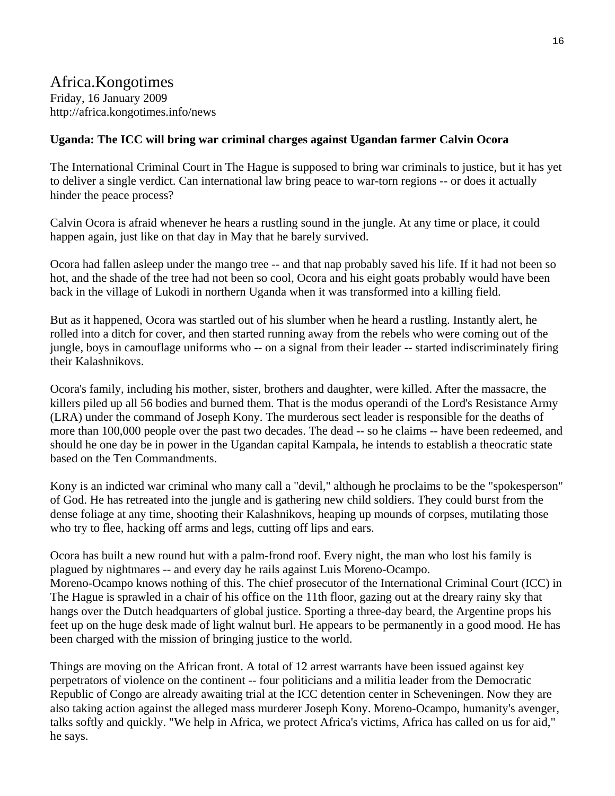## Africa.Kongotimes Friday, 16 January 2009 http://africa.kongotimes.info/news

#### **Uganda: The ICC will bring war criminal charges against Ugandan farmer Calvin Ocora**

The International Criminal Court in The Hague is supposed to bring war criminals to justice, but it has yet to deliver a single verdict. Can international law bring peace to war-torn regions -- or does it actually hinder the peace process?

Calvin Ocora is afraid whenever he hears a rustling sound in the jungle. At any time or place, it could happen again, just like on that day in May that he barely survived.

Ocora had fallen asleep under the mango tree -- and that nap probably saved his life. If it had not been so hot, and the shade of the tree had not been so cool, Ocora and his eight goats probably would have been back in the village of Lukodi in northern Uganda when it was transformed into a killing field.

But as it happened, Ocora was startled out of his slumber when he heard a rustling. Instantly alert, he rolled into a ditch for cover, and then started running away from the rebels who were coming out of the jungle, boys in camouflage uniforms who -- on a signal from their leader -- started indiscriminately firing their Kalashnikovs.

Ocora's family, including his mother, sister, brothers and daughter, were killed. After the massacre, the killers piled up all 56 bodies and burned them. That is the modus operandi of the Lord's Resistance Army (LRA) under the command of Joseph Kony. The murderous sect leader is responsible for the deaths of more than 100,000 people over the past two decades. The dead -- so he claims -- have been redeemed, and should he one day be in power in the Ugandan capital Kampala, he intends to establish a theocratic state based on the Ten Commandments.

Kony is an indicted war criminal who many call a "devil," although he proclaims to be the "spokesperson" of God. He has retreated into the jungle and is gathering new child soldiers. They could burst from the dense foliage at any time, shooting their Kalashnikovs, heaping up mounds of corpses, mutilating those who try to flee, hacking off arms and legs, cutting off lips and ears.

Ocora has built a new round hut with a palm-frond roof. Every night, the man who lost his family is plagued by nightmares -- and every day he rails against Luis Moreno-Ocampo. Moreno-Ocampo knows nothing of this. The chief prosecutor of the International Criminal Court (ICC) in The Hague is sprawled in a chair of his office on the 11th floor, gazing out at the dreary rainy sky that hangs over the Dutch headquarters of global justice. Sporting a three-day beard, the Argentine props his feet up on the huge desk made of light walnut burl. He appears to be permanently in a good mood. He has been charged with the mission of bringing justice to the world.

Things are moving on the African front. A total of 12 arrest warrants have been issued against key perpetrators of violence on the continent -- four politicians and a militia leader from the Democratic Republic of Congo are already awaiting trial at the ICC detention center in Scheveningen. Now they are also taking action against the alleged mass murderer Joseph Kony. Moreno-Ocampo, humanity's avenger, talks softly and quickly. "We help in Africa, we protect Africa's victims, Africa has called on us for aid," he says.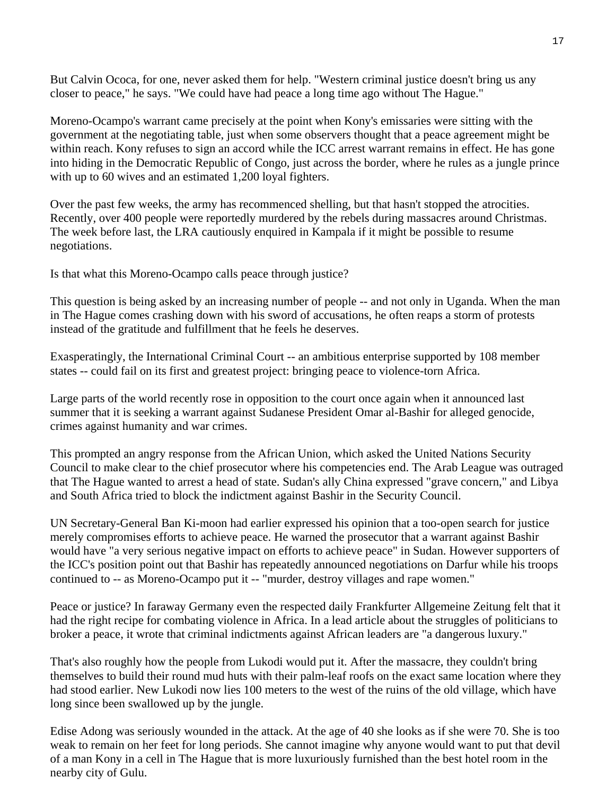But Calvin Ococa, for one, never asked them for help. "Western criminal justice doesn't bring us any closer to peace," he says. "We could have had peace a long time ago without The Hague."

Moreno-Ocampo's warrant came precisely at the point when Kony's emissaries were sitting with the government at the negotiating table, just when some observers thought that a peace agreement might be within reach. Kony refuses to sign an accord while the ICC arrest warrant remains in effect. He has gone into hiding in the Democratic Republic of Congo, just across the border, where he rules as a jungle prince with up to 60 wives and an estimated 1,200 loyal fighters.

Over the past few weeks, the army has recommenced shelling, but that hasn't stopped the atrocities. Recently, over 400 people were reportedly murdered by the rebels during massacres around Christmas. The week before last, the LRA cautiously enquired in Kampala if it might be possible to resume negotiations.

Is that what this Moreno-Ocampo calls peace through justice?

This question is being asked by an increasing number of people -- and not only in Uganda. When the man in The Hague comes crashing down with his sword of accusations, he often reaps a storm of protests instead of the gratitude and fulfillment that he feels he deserves.

Exasperatingly, the International Criminal Court -- an ambitious enterprise supported by 108 member states -- could fail on its first and greatest project: bringing peace to violence-torn Africa.

Large parts of the world recently rose in opposition to the court once again when it announced last summer that it is seeking a warrant against Sudanese President Omar al-Bashir for alleged genocide, crimes against humanity and war crimes.

This prompted an angry response from the African Union, which asked the United Nations Security Council to make clear to the chief prosecutor where his competencies end. The Arab League was outraged that The Hague wanted to arrest a head of state. Sudan's ally China expressed "grave concern," and Libya and South Africa tried to block the indictment against Bashir in the Security Council.

UN Secretary-General Ban Ki-moon had earlier expressed his opinion that a too-open search for justice merely compromises efforts to achieve peace. He warned the prosecutor that a warrant against Bashir would have "a very serious negative impact on efforts to achieve peace" in Sudan. However supporters of the ICC's position point out that Bashir has repeatedly announced negotiations on Darfur while his troops continued to -- as Moreno-Ocampo put it -- "murder, destroy villages and rape women."

Peace or justice? In faraway Germany even the respected daily Frankfurter Allgemeine Zeitung felt that it had the right recipe for combating violence in Africa. In a lead article about the struggles of politicians to broker a peace, it wrote that criminal indictments against African leaders are "a dangerous luxury."

That's also roughly how the people from Lukodi would put it. After the massacre, they couldn't bring themselves to build their round mud huts with their palm-leaf roofs on the exact same location where they had stood earlier. New Lukodi now lies 100 meters to the west of the ruins of the old village, which have long since been swallowed up by the jungle.

Edise Adong was seriously wounded in the attack. At the age of 40 she looks as if she were 70. She is too weak to remain on her feet for long periods. She cannot imagine why anyone would want to put that devil of a man Kony in a cell in The Hague that is more luxuriously furnished than the best hotel room in the nearby city of Gulu.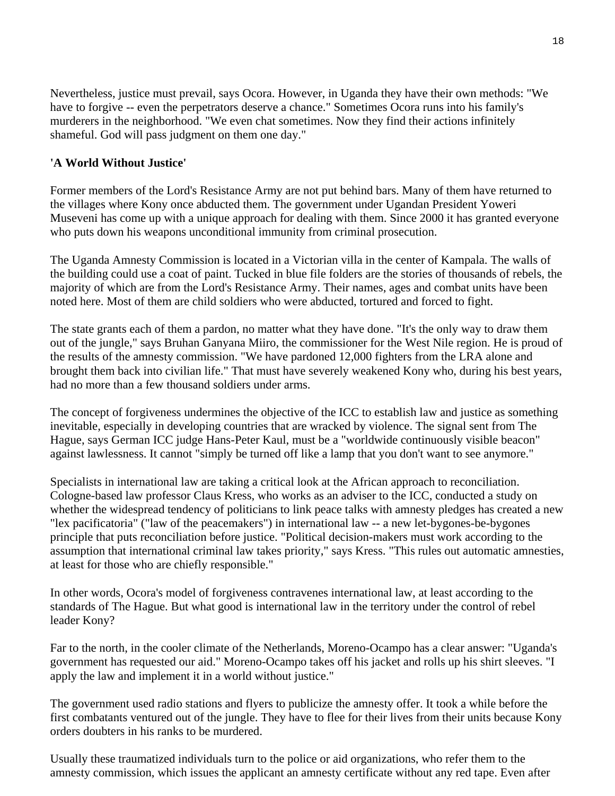Nevertheless, justice must prevail, says Ocora. However, in Uganda they have their own methods: "We have to forgive -- even the perpetrators deserve a chance." Sometimes Ocora runs into his family's murderers in the neighborhood. "We even chat sometimes. Now they find their actions infinitely shameful. God will pass judgment on them one day."

## **'A World Without Justice'**

Former members of the Lord's Resistance Army are not put behind bars. Many of them have returned to the villages where Kony once abducted them. The government under Ugandan President Yoweri Museveni has come up with a unique approach for dealing with them. Since 2000 it has granted everyone who puts down his weapons unconditional immunity from criminal prosecution.

The Uganda Amnesty Commission is located in a Victorian villa in the center of Kampala. The walls of the building could use a coat of paint. Tucked in blue file folders are the stories of thousands of rebels, the majority of which are from the Lord's Resistance Army. Their names, ages and combat units have been noted here. Most of them are child soldiers who were abducted, tortured and forced to fight.

The state grants each of them a pardon, no matter what they have done. "It's the only way to draw them out of the jungle," says Bruhan Ganyana Miiro, the commissioner for the West Nile region. He is proud of the results of the amnesty commission. "We have pardoned 12,000 fighters from the LRA alone and brought them back into civilian life." That must have severely weakened Kony who, during his best years, had no more than a few thousand soldiers under arms.

The concept of forgiveness undermines the objective of the ICC to establish law and justice as something inevitable, especially in developing countries that are wracked by violence. The signal sent from The Hague, says German ICC judge Hans-Peter Kaul, must be a "worldwide continuously visible beacon" against lawlessness. It cannot "simply be turned off like a lamp that you don't want to see anymore."

Specialists in international law are taking a critical look at the African approach to reconciliation. Cologne-based law professor Claus Kress, who works as an adviser to the ICC, conducted a study on whether the widespread tendency of politicians to link peace talks with amnesty pledges has created a new "lex pacificatoria" ("law of the peacemakers") in international law -- a new let-bygones-be-bygones principle that puts reconciliation before justice. "Political decision-makers must work according to the assumption that international criminal law takes priority," says Kress. "This rules out automatic amnesties, at least for those who are chiefly responsible."

In other words, Ocora's model of forgiveness contravenes international law, at least according to the standards of The Hague. But what good is international law in the territory under the control of rebel leader Kony?

Far to the north, in the cooler climate of the Netherlands, Moreno-Ocampo has a clear answer: "Uganda's government has requested our aid." Moreno-Ocampo takes off his jacket and rolls up his shirt sleeves. "I apply the law and implement it in a world without justice."

The government used radio stations and flyers to publicize the amnesty offer. It took a while before the first combatants ventured out of the jungle. They have to flee for their lives from their units because Kony orders doubters in his ranks to be murdered.

Usually these traumatized individuals turn to the police or aid organizations, who refer them to the amnesty commission, which issues the applicant an amnesty certificate without any red tape. Even after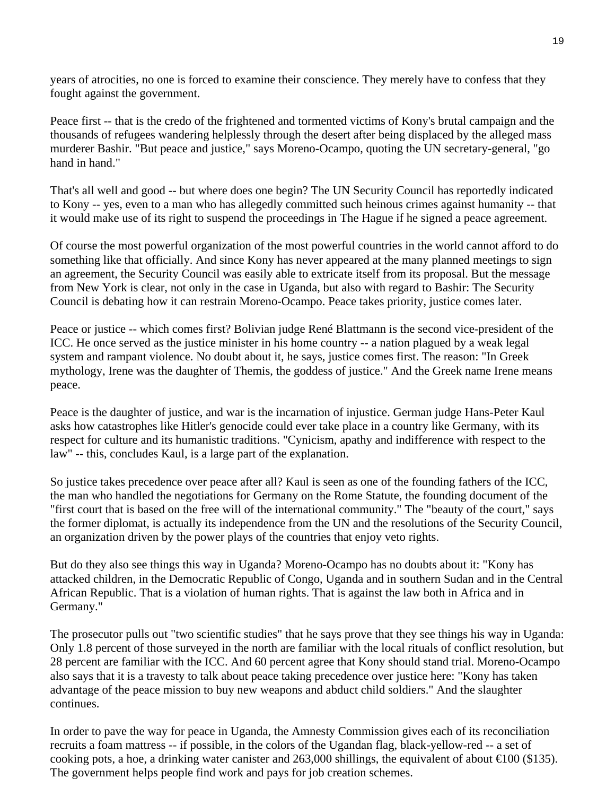years of atrocities, no one is forced to examine their conscience. They merely have to confess that they fought against the government.

Peace first -- that is the credo of the frightened and tormented victims of Kony's brutal campaign and the thousands of refugees wandering helplessly through the desert after being displaced by the alleged mass murderer Bashir. "But peace and justice," says Moreno-Ocampo, quoting the UN secretary-general, "go hand in hand."

That's all well and good -- but where does one begin? The UN Security Council has reportedly indicated to Kony -- yes, even to a man who has allegedly committed such heinous crimes against humanity -- that it would make use of its right to suspend the proceedings in The Hague if he signed a peace agreement.

Of course the most powerful organization of the most powerful countries in the world cannot afford to do something like that officially. And since Kony has never appeared at the many planned meetings to sign an agreement, the Security Council was easily able to extricate itself from its proposal. But the message from New York is clear, not only in the case in Uganda, but also with regard to Bashir: The Security Council is debating how it can restrain Moreno-Ocampo. Peace takes priority, justice comes later.

Peace or justice -- which comes first? Bolivian judge René Blattmann is the second vice-president of the ICC. He once served as the justice minister in his home country -- a nation plagued by a weak legal system and rampant violence. No doubt about it, he says, justice comes first. The reason: "In Greek mythology, Irene was the daughter of Themis, the goddess of justice." And the Greek name Irene means peace.

Peace is the daughter of justice, and war is the incarnation of injustice. German judge Hans-Peter Kaul asks how catastrophes like Hitler's genocide could ever take place in a country like Germany, with its respect for culture and its humanistic traditions. "Cynicism, apathy and indifference with respect to the law" -- this, concludes Kaul, is a large part of the explanation.

So justice takes precedence over peace after all? Kaul is seen as one of the founding fathers of the ICC, the man who handled the negotiations for Germany on the Rome Statute, the founding document of the "first court that is based on the free will of the international community." The "beauty of the court," says the former diplomat, is actually its independence from the UN and the resolutions of the Security Council, an organization driven by the power plays of the countries that enjoy veto rights.

But do they also see things this way in Uganda? Moreno-Ocampo has no doubts about it: "Kony has attacked children, in the Democratic Republic of Congo, Uganda and in southern Sudan and in the Central African Republic. That is a violation of human rights. That is against the law both in Africa and in Germany."

The prosecutor pulls out "two scientific studies" that he says prove that they see things his way in Uganda: Only 1.8 percent of those surveyed in the north are familiar with the local rituals of conflict resolution, but 28 percent are familiar with the ICC. And 60 percent agree that Kony should stand trial. Moreno-Ocampo also says that it is a travesty to talk about peace taking precedence over justice here: "Kony has taken advantage of the peace mission to buy new weapons and abduct child soldiers." And the slaughter continues.

In order to pave the way for peace in Uganda, the Amnesty Commission gives each of its reconciliation recruits a foam mattress -- if possible, in the colors of the Ugandan flag, black-yellow-red -- a set of cooking pots, a hoe, a drinking water canister and 263,000 shillings, the equivalent of about  $\in$  100 (\$135). The government helps people find work and pays for job creation schemes.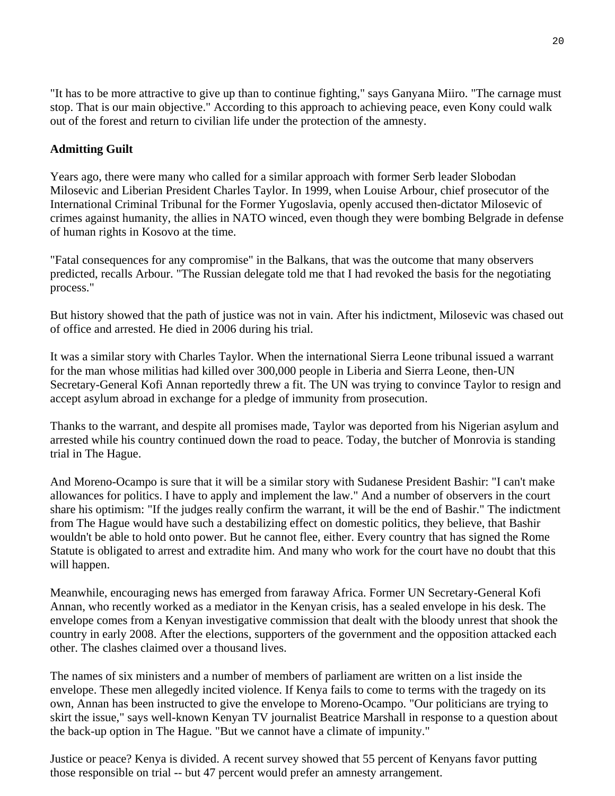"It has to be more attractive to give up than to continue fighting," says Ganyana Miiro. "The carnage must stop. That is our main objective." According to this approach to achieving peace, even Kony could walk out of the forest and return to civilian life under the protection of the amnesty.

## **Admitting Guilt**

Years ago, there were many who called for a similar approach with former Serb leader Slobodan Milosevic and Liberian President Charles Taylor. In 1999, when Louise Arbour, chief prosecutor of the International Criminal Tribunal for the Former Yugoslavia, openly accused then-dictator Milosevic of crimes against humanity, the allies in NATO winced, even though they were bombing Belgrade in defense of human rights in Kosovo at the time.

"Fatal consequences for any compromise" in the Balkans, that was the outcome that many observers predicted, recalls Arbour. "The Russian delegate told me that I had revoked the basis for the negotiating process."

But history showed that the path of justice was not in vain. After his indictment, Milosevic was chased out of office and arrested. He died in 2006 during his trial.

It was a similar story with Charles Taylor. When the international Sierra Leone tribunal issued a warrant for the man whose militias had killed over 300,000 people in Liberia and Sierra Leone, then-UN Secretary-General Kofi Annan reportedly threw a fit. The UN was trying to convince Taylor to resign and accept asylum abroad in exchange for a pledge of immunity from prosecution.

Thanks to the warrant, and despite all promises made, Taylor was deported from his Nigerian asylum and arrested while his country continued down the road to peace. Today, the butcher of Monrovia is standing trial in The Hague.

And Moreno-Ocampo is sure that it will be a similar story with Sudanese President Bashir: "I can't make allowances for politics. I have to apply and implement the law." And a number of observers in the court share his optimism: "If the judges really confirm the warrant, it will be the end of Bashir." The indictment from The Hague would have such a destabilizing effect on domestic politics, they believe, that Bashir wouldn't be able to hold onto power. But he cannot flee, either. Every country that has signed the Rome Statute is obligated to arrest and extradite him. And many who work for the court have no doubt that this will happen.

Meanwhile, encouraging news has emerged from faraway Africa. Former UN Secretary-General Kofi Annan, who recently worked as a mediator in the Kenyan crisis, has a sealed envelope in his desk. The envelope comes from a Kenyan investigative commission that dealt with the bloody unrest that shook the country in early 2008. After the elections, supporters of the government and the opposition attacked each other. The clashes claimed over a thousand lives.

The names of six ministers and a number of members of parliament are written on a list inside the envelope. These men allegedly incited violence. If Kenya fails to come to terms with the tragedy on its own, Annan has been instructed to give the envelope to Moreno-Ocampo. "Our politicians are trying to skirt the issue," says well-known Kenyan TV journalist Beatrice Marshall in response to a question about the back-up option in The Hague. "But we cannot have a climate of impunity."

Justice or peace? Kenya is divided. A recent survey showed that 55 percent of Kenyans favor putting those responsible on trial -- but 47 percent would prefer an amnesty arrangement.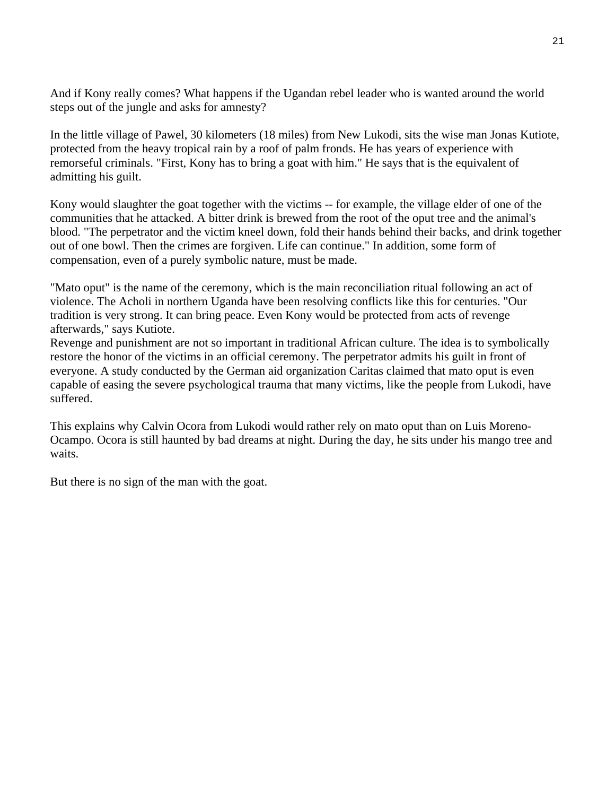And if Kony really comes? What happens if the Ugandan rebel leader who is wanted around the world steps out of the jungle and asks for amnesty?

In the little village of Pawel, 30 kilometers (18 miles) from New Lukodi, sits the wise man Jonas Kutiote, protected from the heavy tropical rain by a roof of palm fronds. He has years of experience with remorseful criminals. "First, Kony has to bring a goat with him." He says that is the equivalent of admitting his guilt.

Kony would slaughter the goat together with the victims -- for example, the village elder of one of the communities that he attacked. A bitter drink is brewed from the root of the oput tree and the animal's blood. "The perpetrator and the victim kneel down, fold their hands behind their backs, and drink together out of one bowl. Then the crimes are forgiven. Life can continue." In addition, some form of compensation, even of a purely symbolic nature, must be made.

"Mato oput" is the name of the ceremony, which is the main reconciliation ritual following an act of violence. The Acholi in northern Uganda have been resolving conflicts like this for centuries. "Our tradition is very strong. It can bring peace. Even Kony would be protected from acts of revenge afterwards," says Kutiote.

Revenge and punishment are not so important in traditional African culture. The idea is to symbolically restore the honor of the victims in an official ceremony. The perpetrator admits his guilt in front of everyone. A study conducted by the German aid organization Caritas claimed that mato oput is even capable of easing the severe psychological trauma that many victims, like the people from Lukodi, have suffered.

This explains why Calvin Ocora from Lukodi would rather rely on mato oput than on Luis Moreno-Ocampo. Ocora is still haunted by bad dreams at night. During the day, he sits under his mango tree and waits.

But there is no sign of the man with the goat.